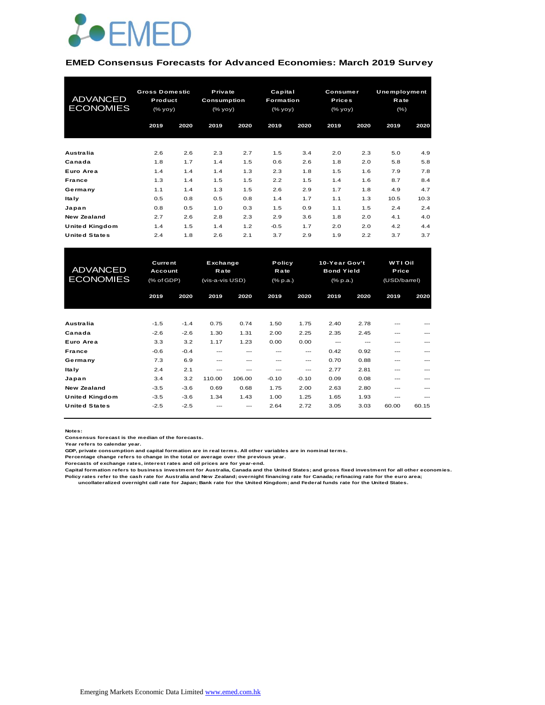

#### **EMED Consensus Forecasts for Advanced Economies: March 2019 Survey**

| <b>ADVANCED</b><br><b>ECONOMIES</b> | <b>Gross Domestic</b><br>Product<br>(% yoy) |      | Private<br><b>Consumption</b><br>(% yoy) |      | Capital<br>Formation<br>(% |      | Consumer<br><b>Prices</b><br>(% yoy) |      | Unemployment<br>Rate<br>$(\% )$ |      |
|-------------------------------------|---------------------------------------------|------|------------------------------------------|------|----------------------------|------|--------------------------------------|------|---------------------------------|------|
|                                     | 2019                                        | 2020 | 2019                                     | 2020 | 2019                       | 2020 | 2019                                 | 2020 | 2019                            | 2020 |
| <b>Australia</b>                    | 2.6                                         | 2.6  | 2.3                                      | 2.7  | 1.5                        | 3.4  | 2.0                                  | 2.3  | 5.0                             | 4.9  |
| Canada                              | 1.8                                         | 1.7  | 1.4                                      | 1.5  | 0.6                        | 2.6  | 1.8                                  | 2.0  | 5.8                             | 5.8  |
| Euro Area                           | 1.4                                         | 1.4  | 1.4                                      | 1.3  | 2.3                        | 1.8  | 1.5                                  | 1.6  | 7.9                             | 7.8  |
| France                              | 1.3                                         | 1.4  | 1.5                                      | 1.5  | 2.2                        | 1.5  | 1.4                                  | 1.6  | 8.7                             | 8.4  |
| Germany                             | 1.1                                         | 1.4  | 1.3                                      | 1.5  | 2.6                        | 2.9  | 1.7                                  | 1.8  | 4.9                             | 4.7  |
| Ita Iy                              | 0.5                                         | 0.8  | 0.5                                      | 0.8  | 1.4                        | 1.7  | 1.1                                  | 1.3  | 10.5                            | 10.3 |
| Japan                               | 0.8                                         | 0.5  | 1.0                                      | 0.3  | 1.5                        | 0.9  | 1.1                                  | 1.5  | 2.4                             | 2.4  |
| <b>New Zealand</b>                  | 2.7                                         | 2.6  | 2.8                                      | 2.3  | 2.9                        | 3.6  | 1.8                                  | 2.0  | 4.1                             | 4.0  |
| <b>United Kingdom</b>               | 1.4                                         | 1.5  | 1.4                                      | 1.2  | $-0.5$                     | 1.7  | 2.0                                  | 2.0  | 4.2                             | 4.4  |
| <b>United States</b>                | 2.4                                         | 1.8  | 2.6                                      | 2.1  | 3.7                        | 2.9  | 1.9                                  | 2.2  | 3.7                             | 3.7  |

| <b>United Kingdom</b> | 1.4            | 1.5    | 1.4             | 1.2    | $-0.5$          | 1.7     | 2.0               | 2.0  | 4.2          | 4.4   |
|-----------------------|----------------|--------|-----------------|--------|-----------------|---------|-------------------|------|--------------|-------|
| <b>United States</b>  | 2.4            | 1.8    | 2.6             | 2.1    | 3.7             | 2.9     | 1.9               | 2.2  | 3.7          | 3.7   |
|                       |                |        |                 |        |                 |         |                   |      |              |       |
|                       |                |        |                 |        |                 |         |                   |      |              |       |
| <b>ADVANCED</b>       | <b>Current</b> |        | Exchange        |        | Policy          |         | 10-Year Gov't     |      | WTI Oil      |       |
|                       | Account        |        | Rate            |        | Rate            |         | <b>Bond Yield</b> |      | Price        |       |
| <b>ECONOMIES</b>      | (% of GDP)     |        | (vis-a-vis USD) |        | $(%$ $(% p.a.)$ |         | $(%$ $(% p.a.)$   |      | (USD/barrel) |       |
|                       | 2019           | 2020   | 2019            | 2020   | 2019            | 2020    | 2019              | 2020 | 2019         | 2020  |
|                       |                |        |                 |        |                 |         |                   |      |              |       |
|                       |                |        |                 |        |                 |         |                   |      |              |       |
| Australia             | $-1.5$         | $-1.4$ | 0.75            | 0.74   | 1.50            | 1.75    | 2.40              | 2.78 | ---          |       |
| Canada                | $-2.6$         | $-2.6$ | 1.30            | 1.31   | 2.00            | 2.25    | 2.35              | 2.45 | ---          |       |
| Euro Area             | 3.3            | 3.2    | 1.17            | 1.23   | 0.00            | 0.00    | $---$             | ---  | ---          |       |
| France                | $-0.6$         | $-0.4$ | $---$           | $---$  | $---$           | ---     | 0.42              | 0.92 | ---          | ---   |
| Germany               | 7.3            | 6.9    | $---$           | $---$  | $- - -$         | ---     | 0.70              | 0.88 | ---          | ---   |
| <b>Italy</b>          | 2.4            | 2.1    | $---$           | $---$  | $---$           | ---     | 2.77              | 2.81 | ---          | ---   |
| Japan                 | 3.4            | 3.2    | 110.00          | 106.00 | $-0.10$         | $-0.10$ | 0.09              | 0.08 | ---          |       |
| <b>New Zealand</b>    | $-3.5$         | $-3.6$ | 0.69            | 0.68   | 1.75            | 2.00    | 2.63              | 2.80 | ---          |       |
| <b>United Kingdom</b> | $-3.5$         | $-3.6$ | 1.34            | 1.43   | 1.00            | 1.25    | 1.65              | 1.93 | $- - -$      | ---   |
| <b>United States</b>  | $-2.5$         | $-2.5$ |                 | $---$  | 2.64            | 2.72    | 3.05              | 3.03 | 60.00        | 60.15 |
|                       |                |        |                 |        |                 |         |                   |      |              |       |

**Notes:** 

**Consensus forecast is the median of the forecasts.**

**Year refers to calendar year.**

**GDP, private consumption and capital formation are in real terms. All other variables are in nominal terms.**

**Percentage change refers to change in the total or average over the previous year.**

**Forecasts of exchange rates, interest rates and oil prices are for year-end. Capital formation refers to business investment for Australia, Canada and the United States; and gross fixed investment for all other economies.**

**Policy rates refer to the cash rate for Australia and New Zealand; overnight financing rate for Canada; refinacing rate for the euro area; uncollateralized overnight call rate for Japan; Bank rate for the United Kingdom; and Federal funds rate for the United States.**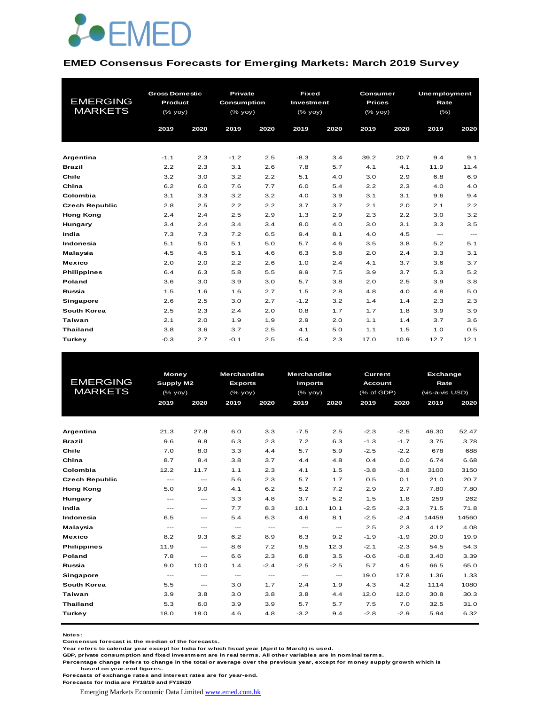

#### **EMED Consensus Forecasts for Emerging Markets: March 2019 Survey**

| <b>EMERGING</b>       | <b>Gross Domestic</b> |      | <b>Private</b> |      | <b>Fixed</b> |      | Consumer      |      | <b>Unemployment</b> |                          |
|-----------------------|-----------------------|------|----------------|------|--------------|------|---------------|------|---------------------|--------------------------|
|                       | Product               |      | Consumption    |      | Investment   |      | <b>Prices</b> |      | Rate                |                          |
| <b>MARKETS</b>        | (% yoy)               |      | (% yoy)        |      | (% yoy)      |      | (% yoy)       |      | $(\% )$             |                          |
|                       | 2019                  | 2020 | 2019           | 2020 | 2019         | 2020 | 2019          | 2020 | 2019                | 2020                     |
|                       |                       |      |                |      |              |      |               |      |                     |                          |
|                       |                       |      |                |      |              |      |               |      |                     |                          |
| Argentina             | $-1.1$                | 2.3  | $-1.2$         | 2.5  | $-8.3$       | 3.4  | 39.2          | 20.7 | 9.4                 | 9.1                      |
| <b>Brazil</b>         | 2.2                   | 2.3  | 3.1            | 2.6  | 7.8          | 5.7  | 4.1           | 4.1  | 11.9                | 11.4                     |
| Chile                 | 3.2                   | 3.0  | 3.2            | 2.2  | 5.1          | 4.0  | 3.0           | 2.9  | 6.8                 | 6.9                      |
| China                 | 6.2                   | 6.0  | 7.6            | 7.7  | 6.0          | 5.4  | 2.2           | 2.3  | 4.0                 | 4.0                      |
| Colombia              | 3.1                   | 3.3  | 3.2            | 3.2  | 4.0          | 3.9  | 3.1           | 3.1  | 9.6                 | 9.4                      |
| <b>Czech Republic</b> | 2.8                   | 2.5  | 2.2            | 2.2  | 3.7          | 3.7  | 2.1           | 2.0  | 2.1                 | 2.2                      |
| <b>Hong Kong</b>      | 2.4                   | 2.4  | 2.5            | 2.9  | 1.3          | 2.9  | 2.3           | 2.2  | 3.0                 | 3.2                      |
| Hungary               | 3.4                   | 2.4  | 3.4            | 3.4  | 8.0          | 4.0  | 3.0           | 3.1  | 3.3                 | 3.5                      |
| India                 | 7.3                   | 7.3  | 7.2            | 6.5  | 9.4          | 8.1  | 4.0           | 4.5  | $\cdots$            | $\hspace{0.05cm} \ldots$ |
| Indonesia             | 5.1                   | 5.0  | 5.1            | 5.0  | 5.7          | 4.6  | 3.5           | 3.8  | 5.2                 | 5.1                      |
| Malaysia              | 4.5                   | 4.5  | 5.1            | 4.6  | 6.3          | 5.8  | 2.0           | 2.4  | 3.3                 | 3.1                      |
| <b>Mexico</b>         | 2.0                   | 2.0  | 2.2            | 2.6  | 1.0          | 2.4  | 4.1           | 3.7  | 3.6                 | 3.7                      |
| <b>Philippines</b>    | 6.4                   | 6.3  | 5.8            | 5.5  | 9.9          | 7.5  | 3.9           | 3.7  | 5.3                 | 5.2                      |
| Poland                | 3.6                   | 3.0  | 3.9            | 3.0  | 5.7          | 3.8  | 2.0           | 2.5  | 3.9                 | 3.8                      |
| Russia                | 1.5                   | 1.6  | 1.6            | 2.7  | 1.5          | 2.8  | 4.8           | 4.0  | 4.8                 | 5.0                      |
| <b>Singapore</b>      | 2.6                   | 2.5  | 3.0            | 2.7  | $-1.2$       | 3.2  | 1.4           | 1.4  | 2.3                 | 2.3                      |
| South Korea           | 2.5                   | 2.3  | 2.4            | 2.0  | 0.8          | 1.7  | 1.7           | 1.8  | 3.9                 | 3.9                      |
| <b>Taiwan</b>         | 2.1                   | 2.0  | 1.9            | 1.9  | 2.9          | 2.0  | 1.1           | 1.4  | 3.7                 | 3.6                      |
| <b>Thailand</b>       | 3.8                   | 3.6  | 3.7            | 2.5  | 4.1          | 5.0  | 1.1           | 1.5  | 1.0                 | 0.5                      |
| Turkey                | $-0.3$                | 2.7  | $-0.1$         | 2.5  | $-5.4$       | 2.3  | 17.0          | 10.9 | 12.7                | 12.1                     |

|                       | <b>Money</b>                        |                         | <b>Merchandise</b> |                           | <b>Merchandise</b> |                        | <b>Current</b> |        | Exchange        |       |
|-----------------------|-------------------------------------|-------------------------|--------------------|---------------------------|--------------------|------------------------|----------------|--------|-----------------|-------|
| <b>EMERGING</b>       | Supply M2                           |                         | <b>Exports</b>     |                           | <b>Imports</b>     |                        | <b>Account</b> |        | Rate            |       |
| <b>MARKETS</b>        | (% yoy)                             |                         | $(%$ (% yoy)       |                           | $(%$ (% yoy)       |                        | (% of GDP)     |        | (vis-a-vis USD) |       |
|                       | 2019                                | 2020                    | 2019               | 2020                      | 2019               | 2020                   | 2019           | 2020   | 2019            | 2020  |
|                       |                                     |                         |                    |                           |                    |                        |                |        |                 |       |
|                       |                                     |                         |                    |                           |                    |                        |                |        |                 |       |
| Argentina             | 21.3                                | 27.8                    | 6.0                | 3.3                       | $-7.5$             | 2.5                    | $-2.3$         | $-2.5$ | 46.30           | 52.47 |
| <b>Brazil</b>         | 9.6                                 | 9.8                     | 6.3                | 2.3                       | 7.2                | 6.3                    | $-1.3$         | $-1.7$ | 3.75            | 3.78  |
| Chile                 | 7.0                                 | 8.0                     | 3.3                | 4.4                       | 5.7                | 5.9                    | $-2.5$         | $-2.2$ | 678             | 688   |
| China                 | 8.7                                 | 8.4                     | 3.8                | 3.7                       | 4.4                | 4.8                    | 0.4            | 0.0    | 6.74            | 6.68  |
| Colombia              | 12.2                                | 11.7                    | 1.1                | 2.3                       | 4.1                | 1.5                    | $-3.8$         | $-3.8$ | 3100            | 3150  |
| <b>Czech Republic</b> | $\hspace{0.05cm}---\hspace{0.05cm}$ | $\qquad \qquad -\qquad$ | 5.6                | 2.3                       | 5.7                | 1.7                    | 0.5            | 0.1    | 21.0            | 20.7  |
| <b>Hong Kong</b>      | 5.0                                 | 9.0                     | 4.1                | 6.2                       | 5.2                | 7.2                    | 2.9            | 2.7    | 7.80            | 7.80  |
| Hungary               | $\sim$ $\sim$ $\sim$                | $\sim$ $\sim$           | 3.3                | 4.8                       | 3.7                | 5.2                    | 1.5            | 1.8    | 259             | 262   |
| India                 | $---$                               | $\frac{1}{2}$           | 7.7                | 8.3                       | 10.1               | 10.1                   | $-2.5$         | $-2.3$ | 71.5            | 71.8  |
| Indonesia             | 6.5                                 | $---$                   | 5.4                | 6.3                       | 4.6                | 8.1                    | $-2.5$         | $-2.4$ | 14459           | 14560 |
| Malaysia              | $\cdots$                            | $\cdots$                | $\qquad \qquad -$  | $\qquad \qquad -\qquad -$ | $\qquad \qquad -$  | $\qquad \qquad \cdots$ | 2.5            | 2.3    | 4.12            | 4.08  |
| <b>Mexico</b>         | 8.2                                 | 9.3                     | 6.2                | 8.9                       | 6.3                | 9.2                    | $-1.9$         | $-1.9$ | 20.0            | 19.9  |
| <b>Philippines</b>    | 11.9                                | $\qquad \qquad -\qquad$ | 8.6                | 7.2                       | 9.5                | 12.3                   | $-2.1$         | $-2.3$ | 54.5            | 54.3  |
| Poland                | 7.8                                 | ---                     | 6.6                | 2.3                       | 6.8                | 3.5                    | $-0.6$         | $-0.8$ | 3.40            | 3.39  |
| Russia                | 9.0                                 | 10.0                    | 1.4                | $-2.4$                    | $-2.5$             | $-2.5$                 | 5.7            | 4.5    | 66.5            | 65.0  |
| Singapore             | $\sim$ $\sim$                       | $\frac{1}{2}$           | $\sim$ $\sim$      | $\frac{1}{2}$             | $\sim$ $\sim$      | $\frac{1}{2}$          | 19.0           | 17.8   | 1.36            | 1.33  |
| South Korea           | 5.5                                 | $\sim$ $\sim$           | 3.0                | 1.7                       | 2.4                | 1.9                    | 4.3            | 4.2    | 1114            | 1080  |
| Taiwan                | 3.9                                 | 3.8                     | 3.0                | 3.8                       | 3.8                | 4.4                    | 12.0           | 12.0   | 30.8            | 30.3  |
| <b>Thailand</b>       | 5.3                                 | 6.0                     | 3.9                | 3.9                       | 5.7                | 5.7                    | 7.5            | 7.0    | 32.5            | 31.0  |
| Turkey                | 18.0                                | 18.0                    | 4.6                | 4.8                       | $-3.2$             | 9.4                    | $-2.8$         | $-2.9$ | 5.94            | 6.32  |
|                       |                                     |                         |                    |                           |                    |                        |                |        |                 |       |

**Notes:** 

**Consensus forecast is the median of the forecasts.**

**Year refers to calendar year except for India for which fiscal year (April to March) is used.**

**GDP, private consumption and fixed investment are in real terms. All other variables are in nominal terms.**

**Percentage change refers to change in the total or average over the previous year, except for money supply growth which is based on year-end figures.**

**Forecasts of exchange rates and interest rates are for year-end.**

**Forecasts for India are FY18/19 and FY19/20**

Emerging Markets Economic Data Limited www.emed.com.hk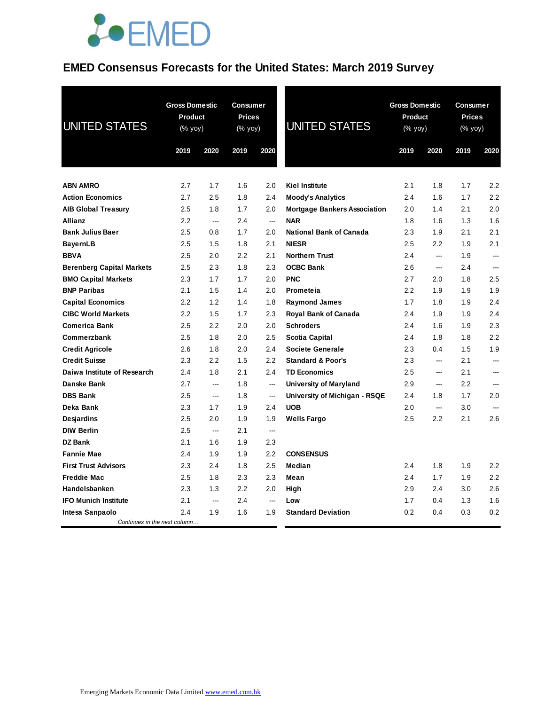### **EMED Consensus Forecasts for the United States: March 2019 Survey**

| 2019<br>2020<br>2019<br>2020<br>2020<br>2019<br>2019<br><b>ABN AMRO</b><br>2.7<br>1.7<br>1.6<br>2.0<br><b>Kiel Institute</b><br>2.1<br>1.8<br>1.7<br>2.4<br><b>Action Economics</b><br>2.7<br>2.5<br>1.8<br><b>Moody's Analytics</b><br>2.4<br>1.6<br>1.7<br>2.1<br><b>AIB Global Treasury</b><br>2.5<br>1.8<br>1.7<br>2.0<br><b>Mortgage Bankers Association</b><br>2.0<br>1.4<br><b>NAR</b><br>2.2<br>2.4<br>1.6<br>1.3<br>Allianz<br>$\overline{\phantom{a}}$<br>1.8<br><u>.</u><br>2.1<br><b>Bank Julius Baer</b><br>2.5<br>0.8<br>1.7<br>2.0<br><b>National Bank of Canada</b><br>2.3<br>1.9<br>2.1<br><b>NIESR</b><br><b>BayernLB</b><br>2.5<br>1.5<br>1.8<br>2.5<br>2.2<br>1.9<br><b>BBVA</b><br>2.5<br>2.0<br>2.2<br>2.1<br><b>Northern Trust</b><br>2.4<br>1.9<br><u>.</u><br>2.5<br>2.3<br>1.8<br>2.3<br><b>OCBC Bank</b><br>2.6<br>2.4<br><b>Berenberg Capital Markets</b><br><u>.</u><br><b>PNC</b><br><b>BMO Capital Markets</b><br>2.3<br>1.7<br>1.7<br>2.0<br>2.7<br>2.0<br>1.8<br><b>BNP Paribas</b><br>2.1<br>1.5<br>1.4<br>2.0<br>Prometeia<br>2.2<br>1.9<br>1.9<br>2.2<br>1.2<br>1.4<br>1.8<br><b>Raymond James</b><br>1.7<br>1.8<br>1.9<br><b>Capital Economics</b><br>2.2<br>1.9<br><b>CIBC World Markets</b><br>1.5<br>1.7<br>2.3<br><b>Royal Bank of Canada</b><br>2.4<br>1.9<br>2.5<br>2.2<br>2.0<br>2.0<br><b>Schroders</b><br>2.4<br>1.6<br><b>Comerica Bank</b><br>1.9<br>2.5<br>1.8<br>2.0<br>2.5<br>2.4<br>1.8<br>1.8<br>Commerzbank<br>Scotia Capital<br>2.6<br>1.8<br>2.0<br>2.4<br><b>Societe Generale</b><br>2.3<br>1.5<br><b>Credit Agricole</b><br>0.4<br><b>Credit Suisse</b><br>2.3<br>2.2<br>1.5<br>2.2<br><b>Standard &amp; Poor's</b><br>2.3<br>2.1<br>---<br>2.4<br>2.1<br>2.5<br>Daiwa Institute of Research<br>1.8<br>2.4<br><b>TD Economics</b><br>2.1<br>---<br>2.2<br>Danske Bank<br>2.7<br>1.8<br><b>University of Maryland</b><br>2.9<br>---<br>$\overline{\phantom{a}}$<br>$\overline{a}$<br><b>DBS Bank</b><br>2.5<br>1.8<br>University of Michigan - RSQE<br>2.4<br>1.8<br>1.7<br>$\overline{\phantom{a}}$<br>---<br><b>UOB</b><br>Deka Bank<br>2.3<br>1.9<br>2.4<br>3.0<br>1.7<br>2.0<br>$\overline{a}$<br>2.5<br>2.2<br>2.0<br><b>Wells Fargo</b><br>2.5<br>2.1<br><b>Desjardins</b><br>1.9<br>1.9<br><b>DIW Berlin</b><br>2.5<br>2.1<br>---<br>$\overline{\phantom{a}}$<br>DZ Bank<br>2.1<br>1.9<br>2.3<br>1.6<br>2.2<br><b>CONSENSUS</b><br><b>Fannie Mae</b><br>2.4<br>1.9<br>1.9<br><b>First Trust Advisors</b><br>Median<br>2.3<br>1.8<br>2.5<br>2.4<br>1.8<br>1.9<br>2.4<br><b>Freddie Mac</b><br>2.5<br>2.4<br>1.8<br>2.3<br>2.3<br>Mean<br>1.7<br>1.9 | <b>UNITED STATES</b> | <b>Gross Domestic</b><br><b>Product</b><br>(% yoy) |     | <b>Consumer</b><br><b>Prices</b><br>(% yoy) |     | <b>UNITED STATES</b> | <b>Gross Domestic</b><br><b>Product</b><br>(% yoy) |     | <b>Consumer</b><br><b>Prices</b><br>(% yoy) |                          |
|--------------------------------------------------------------------------------------------------------------------------------------------------------------------------------------------------------------------------------------------------------------------------------------------------------------------------------------------------------------------------------------------------------------------------------------------------------------------------------------------------------------------------------------------------------------------------------------------------------------------------------------------------------------------------------------------------------------------------------------------------------------------------------------------------------------------------------------------------------------------------------------------------------------------------------------------------------------------------------------------------------------------------------------------------------------------------------------------------------------------------------------------------------------------------------------------------------------------------------------------------------------------------------------------------------------------------------------------------------------------------------------------------------------------------------------------------------------------------------------------------------------------------------------------------------------------------------------------------------------------------------------------------------------------------------------------------------------------------------------------------------------------------------------------------------------------------------------------------------------------------------------------------------------------------------------------------------------------------------------------------------------------------------------------------------------------------------------------------------------------------------------------------------------------------------------------------------------------------------------------------------------------------------------------------------------------------------------------------------------------------------------------------------------------------------------------------------------------------------------------------------------------------------------------------------------------------------------------------------------------|----------------------|----------------------------------------------------|-----|---------------------------------------------|-----|----------------------|----------------------------------------------------|-----|---------------------------------------------|--------------------------|
|                                                                                                                                                                                                                                                                                                                                                                                                                                                                                                                                                                                                                                                                                                                                                                                                                                                                                                                                                                                                                                                                                                                                                                                                                                                                                                                                                                                                                                                                                                                                                                                                                                                                                                                                                                                                                                                                                                                                                                                                                                                                                                                                                                                                                                                                                                                                                                                                                                                                                                                                                                                                                    |                      |                                                    |     |                                             |     |                      |                                                    |     |                                             | 2020                     |
|                                                                                                                                                                                                                                                                                                                                                                                                                                                                                                                                                                                                                                                                                                                                                                                                                                                                                                                                                                                                                                                                                                                                                                                                                                                                                                                                                                                                                                                                                                                                                                                                                                                                                                                                                                                                                                                                                                                                                                                                                                                                                                                                                                                                                                                                                                                                                                                                                                                                                                                                                                                                                    |                      |                                                    |     |                                             |     |                      |                                                    |     |                                             | 2.2                      |
|                                                                                                                                                                                                                                                                                                                                                                                                                                                                                                                                                                                                                                                                                                                                                                                                                                                                                                                                                                                                                                                                                                                                                                                                                                                                                                                                                                                                                                                                                                                                                                                                                                                                                                                                                                                                                                                                                                                                                                                                                                                                                                                                                                                                                                                                                                                                                                                                                                                                                                                                                                                                                    |                      |                                                    |     |                                             |     |                      |                                                    |     |                                             | 2.2                      |
|                                                                                                                                                                                                                                                                                                                                                                                                                                                                                                                                                                                                                                                                                                                                                                                                                                                                                                                                                                                                                                                                                                                                                                                                                                                                                                                                                                                                                                                                                                                                                                                                                                                                                                                                                                                                                                                                                                                                                                                                                                                                                                                                                                                                                                                                                                                                                                                                                                                                                                                                                                                                                    |                      |                                                    |     |                                             |     |                      |                                                    |     |                                             | 2.0                      |
|                                                                                                                                                                                                                                                                                                                                                                                                                                                                                                                                                                                                                                                                                                                                                                                                                                                                                                                                                                                                                                                                                                                                                                                                                                                                                                                                                                                                                                                                                                                                                                                                                                                                                                                                                                                                                                                                                                                                                                                                                                                                                                                                                                                                                                                                                                                                                                                                                                                                                                                                                                                                                    |                      |                                                    |     |                                             |     |                      |                                                    |     |                                             | 1.6                      |
|                                                                                                                                                                                                                                                                                                                                                                                                                                                                                                                                                                                                                                                                                                                                                                                                                                                                                                                                                                                                                                                                                                                                                                                                                                                                                                                                                                                                                                                                                                                                                                                                                                                                                                                                                                                                                                                                                                                                                                                                                                                                                                                                                                                                                                                                                                                                                                                                                                                                                                                                                                                                                    |                      |                                                    |     |                                             |     |                      |                                                    |     |                                             | 2.1                      |
|                                                                                                                                                                                                                                                                                                                                                                                                                                                                                                                                                                                                                                                                                                                                                                                                                                                                                                                                                                                                                                                                                                                                                                                                                                                                                                                                                                                                                                                                                                                                                                                                                                                                                                                                                                                                                                                                                                                                                                                                                                                                                                                                                                                                                                                                                                                                                                                                                                                                                                                                                                                                                    |                      |                                                    |     |                                             |     |                      |                                                    |     |                                             | 2.1                      |
|                                                                                                                                                                                                                                                                                                                                                                                                                                                                                                                                                                                                                                                                                                                                                                                                                                                                                                                                                                                                                                                                                                                                                                                                                                                                                                                                                                                                                                                                                                                                                                                                                                                                                                                                                                                                                                                                                                                                                                                                                                                                                                                                                                                                                                                                                                                                                                                                                                                                                                                                                                                                                    |                      |                                                    |     |                                             |     |                      |                                                    |     |                                             |                          |
|                                                                                                                                                                                                                                                                                                                                                                                                                                                                                                                                                                                                                                                                                                                                                                                                                                                                                                                                                                                                                                                                                                                                                                                                                                                                                                                                                                                                                                                                                                                                                                                                                                                                                                                                                                                                                                                                                                                                                                                                                                                                                                                                                                                                                                                                                                                                                                                                                                                                                                                                                                                                                    |                      |                                                    |     |                                             |     |                      |                                                    |     |                                             |                          |
|                                                                                                                                                                                                                                                                                                                                                                                                                                                                                                                                                                                                                                                                                                                                                                                                                                                                                                                                                                                                                                                                                                                                                                                                                                                                                                                                                                                                                                                                                                                                                                                                                                                                                                                                                                                                                                                                                                                                                                                                                                                                                                                                                                                                                                                                                                                                                                                                                                                                                                                                                                                                                    |                      |                                                    |     |                                             |     |                      |                                                    |     |                                             | 2.5                      |
|                                                                                                                                                                                                                                                                                                                                                                                                                                                                                                                                                                                                                                                                                                                                                                                                                                                                                                                                                                                                                                                                                                                                                                                                                                                                                                                                                                                                                                                                                                                                                                                                                                                                                                                                                                                                                                                                                                                                                                                                                                                                                                                                                                                                                                                                                                                                                                                                                                                                                                                                                                                                                    |                      |                                                    |     |                                             |     |                      |                                                    |     |                                             | 1.9                      |
|                                                                                                                                                                                                                                                                                                                                                                                                                                                                                                                                                                                                                                                                                                                                                                                                                                                                                                                                                                                                                                                                                                                                                                                                                                                                                                                                                                                                                                                                                                                                                                                                                                                                                                                                                                                                                                                                                                                                                                                                                                                                                                                                                                                                                                                                                                                                                                                                                                                                                                                                                                                                                    |                      |                                                    |     |                                             |     |                      |                                                    |     |                                             | 2.4                      |
|                                                                                                                                                                                                                                                                                                                                                                                                                                                                                                                                                                                                                                                                                                                                                                                                                                                                                                                                                                                                                                                                                                                                                                                                                                                                                                                                                                                                                                                                                                                                                                                                                                                                                                                                                                                                                                                                                                                                                                                                                                                                                                                                                                                                                                                                                                                                                                                                                                                                                                                                                                                                                    |                      |                                                    |     |                                             |     |                      |                                                    |     |                                             | 2.4                      |
|                                                                                                                                                                                                                                                                                                                                                                                                                                                                                                                                                                                                                                                                                                                                                                                                                                                                                                                                                                                                                                                                                                                                                                                                                                                                                                                                                                                                                                                                                                                                                                                                                                                                                                                                                                                                                                                                                                                                                                                                                                                                                                                                                                                                                                                                                                                                                                                                                                                                                                                                                                                                                    |                      |                                                    |     |                                             |     |                      |                                                    |     |                                             | 2.3                      |
|                                                                                                                                                                                                                                                                                                                                                                                                                                                                                                                                                                                                                                                                                                                                                                                                                                                                                                                                                                                                                                                                                                                                                                                                                                                                                                                                                                                                                                                                                                                                                                                                                                                                                                                                                                                                                                                                                                                                                                                                                                                                                                                                                                                                                                                                                                                                                                                                                                                                                                                                                                                                                    |                      |                                                    |     |                                             |     |                      |                                                    |     |                                             | 2.2                      |
|                                                                                                                                                                                                                                                                                                                                                                                                                                                                                                                                                                                                                                                                                                                                                                                                                                                                                                                                                                                                                                                                                                                                                                                                                                                                                                                                                                                                                                                                                                                                                                                                                                                                                                                                                                                                                                                                                                                                                                                                                                                                                                                                                                                                                                                                                                                                                                                                                                                                                                                                                                                                                    |                      |                                                    |     |                                             |     |                      |                                                    |     |                                             | 1.9                      |
|                                                                                                                                                                                                                                                                                                                                                                                                                                                                                                                                                                                                                                                                                                                                                                                                                                                                                                                                                                                                                                                                                                                                                                                                                                                                                                                                                                                                                                                                                                                                                                                                                                                                                                                                                                                                                                                                                                                                                                                                                                                                                                                                                                                                                                                                                                                                                                                                                                                                                                                                                                                                                    |                      |                                                    |     |                                             |     |                      |                                                    |     |                                             | ---                      |
|                                                                                                                                                                                                                                                                                                                                                                                                                                                                                                                                                                                                                                                                                                                                                                                                                                                                                                                                                                                                                                                                                                                                                                                                                                                                                                                                                                                                                                                                                                                                                                                                                                                                                                                                                                                                                                                                                                                                                                                                                                                                                                                                                                                                                                                                                                                                                                                                                                                                                                                                                                                                                    |                      |                                                    |     |                                             |     |                      |                                                    |     |                                             | $\overline{\phantom{a}}$ |
|                                                                                                                                                                                                                                                                                                                                                                                                                                                                                                                                                                                                                                                                                                                                                                                                                                                                                                                                                                                                                                                                                                                                                                                                                                                                                                                                                                                                                                                                                                                                                                                                                                                                                                                                                                                                                                                                                                                                                                                                                                                                                                                                                                                                                                                                                                                                                                                                                                                                                                                                                                                                                    |                      |                                                    |     |                                             |     |                      |                                                    |     |                                             | $\sim$                   |
|                                                                                                                                                                                                                                                                                                                                                                                                                                                                                                                                                                                                                                                                                                                                                                                                                                                                                                                                                                                                                                                                                                                                                                                                                                                                                                                                                                                                                                                                                                                                                                                                                                                                                                                                                                                                                                                                                                                                                                                                                                                                                                                                                                                                                                                                                                                                                                                                                                                                                                                                                                                                                    |                      |                                                    |     |                                             |     |                      |                                                    |     |                                             | 2.0                      |
|                                                                                                                                                                                                                                                                                                                                                                                                                                                                                                                                                                                                                                                                                                                                                                                                                                                                                                                                                                                                                                                                                                                                                                                                                                                                                                                                                                                                                                                                                                                                                                                                                                                                                                                                                                                                                                                                                                                                                                                                                                                                                                                                                                                                                                                                                                                                                                                                                                                                                                                                                                                                                    |                      |                                                    |     |                                             |     |                      |                                                    |     |                                             | $\sim$                   |
|                                                                                                                                                                                                                                                                                                                                                                                                                                                                                                                                                                                                                                                                                                                                                                                                                                                                                                                                                                                                                                                                                                                                                                                                                                                                                                                                                                                                                                                                                                                                                                                                                                                                                                                                                                                                                                                                                                                                                                                                                                                                                                                                                                                                                                                                                                                                                                                                                                                                                                                                                                                                                    |                      |                                                    |     |                                             |     |                      |                                                    |     |                                             | 2.6                      |
|                                                                                                                                                                                                                                                                                                                                                                                                                                                                                                                                                                                                                                                                                                                                                                                                                                                                                                                                                                                                                                                                                                                                                                                                                                                                                                                                                                                                                                                                                                                                                                                                                                                                                                                                                                                                                                                                                                                                                                                                                                                                                                                                                                                                                                                                                                                                                                                                                                                                                                                                                                                                                    |                      |                                                    |     |                                             |     |                      |                                                    |     |                                             |                          |
|                                                                                                                                                                                                                                                                                                                                                                                                                                                                                                                                                                                                                                                                                                                                                                                                                                                                                                                                                                                                                                                                                                                                                                                                                                                                                                                                                                                                                                                                                                                                                                                                                                                                                                                                                                                                                                                                                                                                                                                                                                                                                                                                                                                                                                                                                                                                                                                                                                                                                                                                                                                                                    |                      |                                                    |     |                                             |     |                      |                                                    |     |                                             |                          |
|                                                                                                                                                                                                                                                                                                                                                                                                                                                                                                                                                                                                                                                                                                                                                                                                                                                                                                                                                                                                                                                                                                                                                                                                                                                                                                                                                                                                                                                                                                                                                                                                                                                                                                                                                                                                                                                                                                                                                                                                                                                                                                                                                                                                                                                                                                                                                                                                                                                                                                                                                                                                                    |                      |                                                    |     |                                             |     |                      |                                                    |     |                                             |                          |
|                                                                                                                                                                                                                                                                                                                                                                                                                                                                                                                                                                                                                                                                                                                                                                                                                                                                                                                                                                                                                                                                                                                                                                                                                                                                                                                                                                                                                                                                                                                                                                                                                                                                                                                                                                                                                                                                                                                                                                                                                                                                                                                                                                                                                                                                                                                                                                                                                                                                                                                                                                                                                    |                      |                                                    |     |                                             |     |                      |                                                    |     |                                             | 2.2                      |
|                                                                                                                                                                                                                                                                                                                                                                                                                                                                                                                                                                                                                                                                                                                                                                                                                                                                                                                                                                                                                                                                                                                                                                                                                                                                                                                                                                                                                                                                                                                                                                                                                                                                                                                                                                                                                                                                                                                                                                                                                                                                                                                                                                                                                                                                                                                                                                                                                                                                                                                                                                                                                    |                      |                                                    |     |                                             |     |                      |                                                    |     |                                             | 2.2                      |
|                                                                                                                                                                                                                                                                                                                                                                                                                                                                                                                                                                                                                                                                                                                                                                                                                                                                                                                                                                                                                                                                                                                                                                                                                                                                                                                                                                                                                                                                                                                                                                                                                                                                                                                                                                                                                                                                                                                                                                                                                                                                                                                                                                                                                                                                                                                                                                                                                                                                                                                                                                                                                    | Handelsbanken        | 2.3                                                | 1.3 | 2.2                                         | 2.0 | High                 | 2.9                                                | 2.4 | 3.0                                         | 2.6                      |
| <b>IFO Munich Institute</b><br>2.1<br>2.4<br>1.7<br>0.4<br>1.3<br>Low<br>---<br>$\overline{\phantom{a}}$                                                                                                                                                                                                                                                                                                                                                                                                                                                                                                                                                                                                                                                                                                                                                                                                                                                                                                                                                                                                                                                                                                                                                                                                                                                                                                                                                                                                                                                                                                                                                                                                                                                                                                                                                                                                                                                                                                                                                                                                                                                                                                                                                                                                                                                                                                                                                                                                                                                                                                           |                      |                                                    |     |                                             |     |                      |                                                    |     |                                             | 1.6                      |
| 2.4<br>1.9<br>1.6<br>1.9<br><b>Standard Deviation</b><br>0.2<br>0.3<br>Intesa Sanpaolo<br>0.4<br>Continues in the next column                                                                                                                                                                                                                                                                                                                                                                                                                                                                                                                                                                                                                                                                                                                                                                                                                                                                                                                                                                                                                                                                                                                                                                                                                                                                                                                                                                                                                                                                                                                                                                                                                                                                                                                                                                                                                                                                                                                                                                                                                                                                                                                                                                                                                                                                                                                                                                                                                                                                                      |                      |                                                    |     |                                             |     |                      |                                                    |     |                                             | 0.2                      |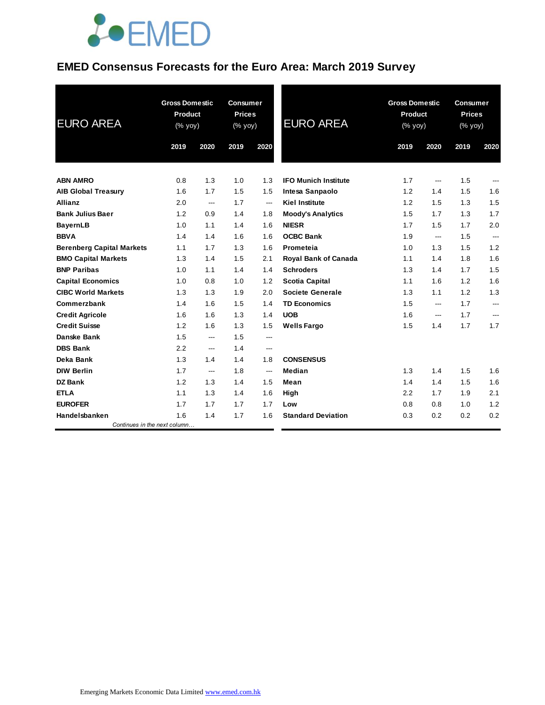### **EMED Consensus Forecasts for the Euro Area: March 2019 Survey**

| <b>EURO AREA</b>                 | <b>Gross Domestic</b><br>Product<br>(% yoy) |      | <b>Consumer</b><br><b>Prices</b><br>(% yoy) |                          | <b>EURO AREA</b>            | <b>Gross Domestic</b><br>Product<br>(% yoy) |                | <b>Consumer</b><br><b>Prices</b><br>(% yoy) |                |
|----------------------------------|---------------------------------------------|------|---------------------------------------------|--------------------------|-----------------------------|---------------------------------------------|----------------|---------------------------------------------|----------------|
|                                  | 2019                                        | 2020 | 2019                                        | 2020                     |                             | 2019                                        | 2020           | 2019                                        | 2020           |
| <b>ABN AMRO</b>                  | 0.8                                         | 1.3  | 1.0                                         | 1.3                      | <b>IFO Munich Institute</b> | 1.7                                         | ---            | 1.5                                         | ---            |
| <b>AIB Global Treasury</b>       | 1.6                                         | 1.7  | 1.5                                         | 1.5                      | Intesa Sanpaolo             | 1.2                                         | 1.4            | 1.5                                         | 1.6            |
| Allianz                          | 2.0                                         | ---  | 1.7                                         | $\hspace{0.05cm} \ldots$ | <b>Kiel Institute</b>       | 1.2                                         | 1.5            | 1.3                                         | 1.5            |
| <b>Bank Julius Baer</b>          | 1.2                                         | 0.9  | 1.4                                         | 1.8                      | <b>Moody's Analytics</b>    | 1.5                                         | 1.7            | 1.3                                         | 1.7            |
| <b>BayernLB</b>                  | 1.0                                         | 1.1  | 1.4                                         | 1.6                      | <b>NIESR</b>                | 1.7                                         | 1.5            | 1.7                                         | 2.0            |
| <b>BBVA</b>                      | 1.4                                         | 1.4  | 1.6                                         | 1.6                      | <b>OCBC Bank</b>            | 1.9                                         | $\overline{a}$ | 1.5                                         | $\overline{a}$ |
| <b>Berenberg Capital Markets</b> | 1.1                                         | 1.7  | 1.3                                         | 1.6                      | Prometeia                   | 1.0                                         | 1.3            | 1.5                                         | 1.2            |
| <b>BMO Capital Markets</b>       | 1.3                                         | 1.4  | 1.5                                         | 2.1                      | <b>Royal Bank of Canada</b> | 1.1                                         | 1.4            | 1.8                                         | 1.6            |
| <b>BNP Paribas</b>               | 1.0                                         | 1.1  | 1.4                                         | 1.4                      | <b>Schroders</b>            | 1.3                                         | 1.4            | 1.7                                         | 1.5            |
| <b>Capital Economics</b>         | 1.0                                         | 0.8  | 1.0                                         | 1.2                      | <b>Scotia Capital</b>       | 1.1                                         | 1.6            | 1.2                                         | 1.6            |
| <b>CIBC World Markets</b>        | 1.3                                         | 1.3  | 1.9                                         | 2.0                      | <b>Societe Generale</b>     | 1.3                                         | 1.1            | 1.2                                         | 1.3            |
| Commerzbank                      | 1.4                                         | 1.6  | 1.5                                         | 1.4                      | <b>TD Economics</b>         | 1.5                                         | ---            | 1.7                                         | ---            |
| <b>Credit Agricole</b>           | 1.6                                         | 1.6  | 1.3                                         | 1.4                      | <b>UOB</b>                  | 1.6                                         | ---            | 1.7                                         | ---            |
| <b>Credit Suisse</b>             | 1.2                                         | 1.6  | 1.3                                         | 1.5                      | <b>Wells Fargo</b>          | 1.5                                         | 1.4            | 1.7                                         | 1.7            |
| Danske Bank                      | 1.5                                         | ---  | 1.5                                         | ---                      |                             |                                             |                |                                             |                |
| <b>DBS Bank</b>                  | 2.2                                         | ---  | 1.4                                         | $\hspace{0.05cm} \ldots$ |                             |                                             |                |                                             |                |
| Deka Bank                        | 1.3                                         | 1.4  | 1.4                                         | 1.8                      | <b>CONSENSUS</b>            |                                             |                |                                             |                |
| <b>DIW Berlin</b>                | 1.7                                         | ---  | 1.8                                         | ---                      | <b>Median</b>               | 1.3                                         | 1.4            | 1.5                                         | 1.6            |
| <b>DZ</b> Bank                   | 1.2                                         | 1.3  | 1.4                                         | 1.5                      | Mean                        | 1.4                                         | 1.4            | 1.5                                         | 1.6            |
| <b>ETLA</b>                      | 1.1                                         | 1.3  | 1.4                                         | 1.6                      | High                        | 2.2                                         | 1.7            | 1.9                                         | 2.1            |
| <b>EUROFER</b>                   | 1.7                                         | 1.7  | 1.7                                         | 1.7                      | Low                         | 0.8                                         | 0.8            | 1.0                                         | 1.2            |
| Handelsbanken                    | 1.6                                         | 1.4  | 1.7                                         | 1.6                      | <b>Standard Deviation</b>   | 0.3                                         | 0.2            | 0.2                                         | 0.2            |
| Continues in the next column     |                                             |      |                                             |                          |                             |                                             |                |                                             |                |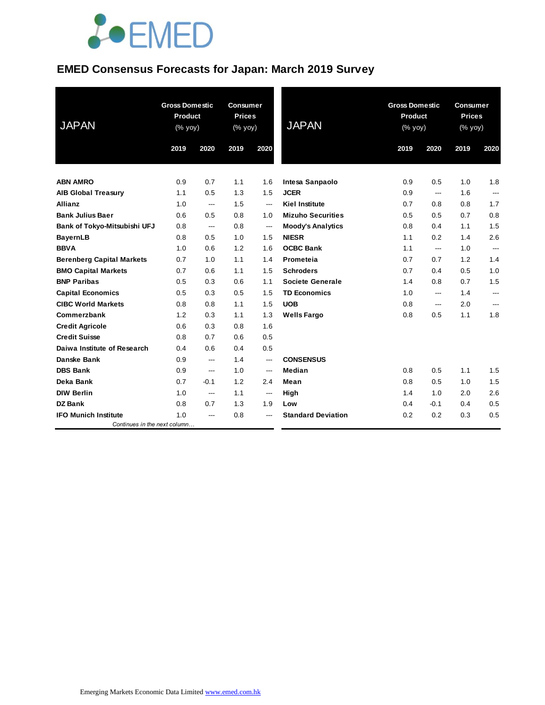### **EMED Consensus Forecasts for Japan: March 2019 Survey**

| <b>JAPAN</b>                     | <b>Gross Domestic</b><br><b>Product</b><br>(% yoy) |        | <b>Consumer</b><br><b>Prices</b><br>(% yoy) |                          | <b>JAPAN</b>              | <b>Gross Domestic</b><br>Product<br>(% yoy) |        | <b>Consumer</b><br><b>Prices</b><br>(% yoy) |                |
|----------------------------------|----------------------------------------------------|--------|---------------------------------------------|--------------------------|---------------------------|---------------------------------------------|--------|---------------------------------------------|----------------|
|                                  | 2019                                               | 2020   | 2019                                        | 2020                     |                           | 2019                                        | 2020   | 2019                                        | 2020           |
| <b>ABN AMRO</b>                  | 0.9                                                | 0.7    | 1.1                                         | 1.6                      | Intesa Sanpaolo           | 0.9                                         | 0.5    | 1.0                                         | 1.8            |
| <b>AIB Global Treasury</b>       | 1.1                                                | 0.5    | 1.3                                         | 1.5                      | <b>JCER</b>               | 0.9                                         | ---    | 1.6                                         | $\overline{a}$ |
| <b>Allianz</b>                   | 1.0                                                | ---    | 1.5                                         | $\hspace{0.05cm} \ldots$ | <b>Kiel Institute</b>     | 0.7                                         | 0.8    | 0.8                                         | 1.7            |
| <b>Bank Julius Baer</b>          | 0.6                                                | 0.5    | 0.8                                         | 1.0                      | <b>Mizuho Securities</b>  | 0.5                                         | 0.5    | 0.7                                         | 0.8            |
| Bank of Tokyo-Mitsubishi UFJ     | 0.8                                                | ---    | 0.8                                         | ---                      | <b>Moody's Analytics</b>  | 0.8                                         | 0.4    | 1.1                                         | 1.5            |
| <b>BayernLB</b>                  | 0.8                                                | 0.5    | 1.0                                         | 1.5                      | <b>NIESR</b>              | 1.1                                         | 0.2    | 1.4                                         | 2.6            |
| <b>BBVA</b>                      | 1.0                                                | 0.6    | 1.2                                         | 1.6                      | <b>OCBC Bank</b>          | 1.1                                         | $---$  | 1.0                                         | $\overline{a}$ |
| <b>Berenberg Capital Markets</b> | 0.7                                                | 1.0    | 1.1                                         | 1.4                      | Prometeia                 | 0.7                                         | 0.7    | 1.2                                         | 1.4            |
| <b>BMO Capital Markets</b>       | 0.7                                                | 0.6    | 1.1                                         | 1.5                      | <b>Schroders</b>          | 0.7                                         | 0.4    | 0.5                                         | 1.0            |
| <b>BNP Paribas</b>               | 0.5                                                | 0.3    | 0.6                                         | 1.1                      | Societe Generale          | 1.4                                         | 0.8    | 0.7                                         | 1.5            |
| <b>Capital Economics</b>         | 0.5                                                | 0.3    | 0.5                                         | 1.5                      | <b>TD Economics</b>       | 1.0                                         | ---    | 1.4                                         | ---            |
| <b>CIBC World Markets</b>        | 0.8                                                | 0.8    | 1.1                                         | 1.5                      | <b>UOB</b>                | 0.8                                         | ---    | 2.0                                         | ---            |
| Commerzbank                      | 1.2                                                | 0.3    | 1.1                                         | 1.3                      | <b>Wells Fargo</b>        | 0.8                                         | 0.5    | 1.1                                         | 1.8            |
| <b>Credit Agricole</b>           | 0.6                                                | 0.3    | 0.8                                         | 1.6                      |                           |                                             |        |                                             |                |
| <b>Credit Suisse</b>             | 0.8                                                | 0.7    | 0.6                                         | 0.5                      |                           |                                             |        |                                             |                |
| Daiwa Institute of Research      | 0.4                                                | 0.6    | 0.4                                         | 0.5                      |                           |                                             |        |                                             |                |
| <b>Danske Bank</b>               | 0.9                                                | ---    | 1.4                                         | $\hspace{0.05cm} \ldots$ | <b>CONSENSUS</b>          |                                             |        |                                             |                |
| <b>DBS Bank</b>                  | 0.9                                                | ---    | 1.0                                         | ---                      | Median                    | 0.8                                         | 0.5    | 1.1                                         | 1.5            |
| Deka Bank                        | 0.7                                                | $-0.1$ | 1.2                                         | 2.4                      | Mean                      | 0.8                                         | 0.5    | 1.0                                         | 1.5            |
| <b>DIW Berlin</b>                | 1.0                                                | ---    | 1.1                                         | ---                      | High                      | 1.4                                         | 1.0    | 2.0                                         | 2.6            |
| <b>DZ Bank</b>                   | 0.8                                                | 0.7    | 1.3                                         | 1.9                      | Low                       | 0.4                                         | $-0.1$ | 0.4                                         | 0.5            |
| <b>IFO Munich Institute</b>      | 1.0                                                | ---    | 0.8                                         | ---                      | <b>Standard Deviation</b> | 0.2                                         | 0.2    | 0.3                                         | 0.5            |
| Continues in the next column     |                                                    |        |                                             |                          |                           |                                             |        |                                             |                |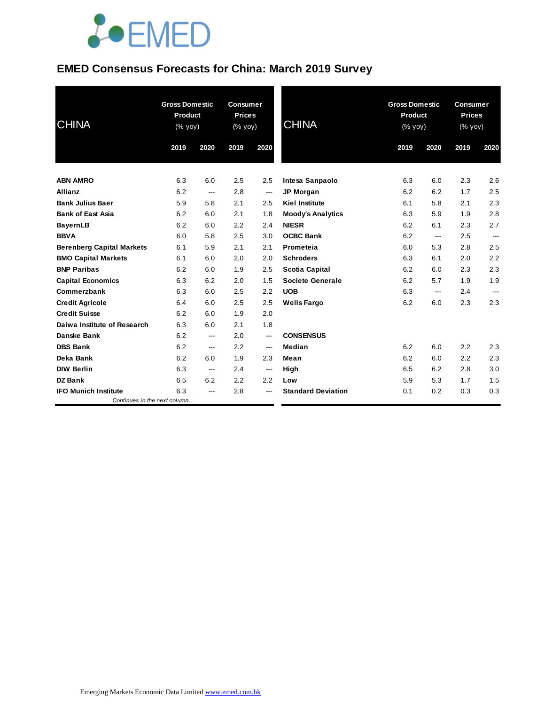### **EMED Consensus Forecasts for China: March 2019 Survey**

| <b>CHINA</b>                     | <b>Gross Domestic</b><br><b>Product</b><br>(% yoy) |                | <b>Consumer</b><br><b>Prices</b><br>(% yoy) |                          | <b>CHINA</b>              | <b>Gross Domestic</b><br>Product<br>(% yoy) |       | <b>Consumer</b><br><b>Prices</b><br>$(% \mathsf{Y}\rightarrow \mathsf{Y})$ (% yoy) |                |
|----------------------------------|----------------------------------------------------|----------------|---------------------------------------------|--------------------------|---------------------------|---------------------------------------------|-------|------------------------------------------------------------------------------------|----------------|
|                                  | 2019                                               | 2020           | 2019                                        | 2020                     |                           | 2019                                        | 2020  | 2019                                                                               | 2020           |
| <b>ABN AMRO</b>                  | 6.3                                                | 6.0            | 2.5                                         | 2.5                      | Intesa Sanpaolo           | 6.3                                         | 6.0   | 2.3                                                                                | 2.6            |
| <b>Allianz</b>                   | 6.2                                                | ---            | 2.8                                         | $\overline{\phantom{a}}$ | <b>JP Morgan</b>          | 6.2                                         | 6.2   | 1.7                                                                                | 2.5            |
| <b>Bank Julius Baer</b>          | 5.9                                                | 5.8            | 2.1                                         | 2.5                      | <b>Kiel Institute</b>     | 6.1                                         | 5.8   | 2.1                                                                                | 2.3            |
| <b>Bank of East Asia</b>         | 6.2                                                | 6.0            | 2.1                                         | 1.8                      | <b>Moody's Analytics</b>  | 6.3                                         | 5.9   | 1.9                                                                                | 2.8            |
| <b>BayernLB</b>                  | 6.2                                                | 6.0            | 2.2                                         | 2.4                      | <b>NIESR</b>              | 6.2                                         | 6.1   | 2.3                                                                                | 2.7            |
| <b>BBVA</b>                      | 6.0                                                | 5.8            | 2.5                                         | 3.0                      | <b>OCBC Bank</b>          | 6.2                                         | ---   | 2.5                                                                                | ---            |
| <b>Berenberg Capital Markets</b> | 6.1                                                | 5.9            | 2.1                                         | 2.1                      | Prometeia                 | 6.0                                         | 5.3   | 2.8                                                                                | 2.5            |
| <b>BMO Capital Markets</b>       | 6.1                                                | 6.0            | 2.0                                         | 2.0                      | <b>Schroders</b>          | 6.3                                         | 6.1   | 2.0                                                                                | 2.2            |
| <b>BNP Paribas</b>               | 6.2                                                | 6.0            | 1.9                                         | 2.5                      | <b>Scotia Capital</b>     | 6.2                                         | 6.0   | 2.3                                                                                | 2.3            |
| <b>Capital Economics</b>         | 6.3                                                | 6.2            | 2.0                                         | 1.5                      | Societe Generale          | 6.2                                         | 5.7   | 1.9                                                                                | 1.9            |
| Commerzbank                      | 6.3                                                | 6.0            | 2.5                                         | 2.2                      | <b>UOB</b>                | 6.3                                         | $---$ | 2.4                                                                                | $\overline{a}$ |
| <b>Credit Agricole</b>           | 6.4                                                | 6.0            | 2.5                                         | 2.5                      | <b>Wells Fargo</b>        | 6.2                                         | 6.0   | 2.3                                                                                | 2.3            |
| <b>Credit Suisse</b>             | 6.2                                                | 6.0            | 1.9                                         | 2.0                      |                           |                                             |       |                                                                                    |                |
| Daiwa Institute of Research      | 6.3                                                | 6.0            | 2.1                                         | 1.8                      |                           |                                             |       |                                                                                    |                |
| <b>Danske Bank</b>               | 6.2                                                | ---            | 2.0                                         | $\overline{\phantom{a}}$ | <b>CONSENSUS</b>          |                                             |       |                                                                                    |                |
| <b>DBS Bank</b>                  | 6.2                                                | ---            | 2.2                                         | ---                      | Median                    | 6.2                                         | 6.0   | 2.2                                                                                | 2.3            |
| Deka Bank                        | 6.2                                                | 6.0            | 1.9                                         | 2.3                      | Mean                      | 6.2                                         | 6.0   | 2.2                                                                                | 2.3            |
| <b>DIW Berlin</b>                | 6.3                                                | $\overline{a}$ | 2.4                                         | ---                      | High                      | 6.5                                         | 6.2   | 2.8                                                                                | 3.0            |
| <b>DZ Bank</b>                   | 6.5                                                | 6.2            | 2.2                                         | 2.2                      | Low                       | 5.9                                         | 5.3   | 1.7                                                                                | 1.5            |
| <b>IFO Munich Institute</b>      | 6.3                                                | ---            | 2.8                                         | ---                      | <b>Standard Deviation</b> | 0.1                                         | 0.2   | 0.3                                                                                | 0.3            |
| Continues in the next column     |                                                    |                |                                             |                          |                           |                                             |       |                                                                                    |                |